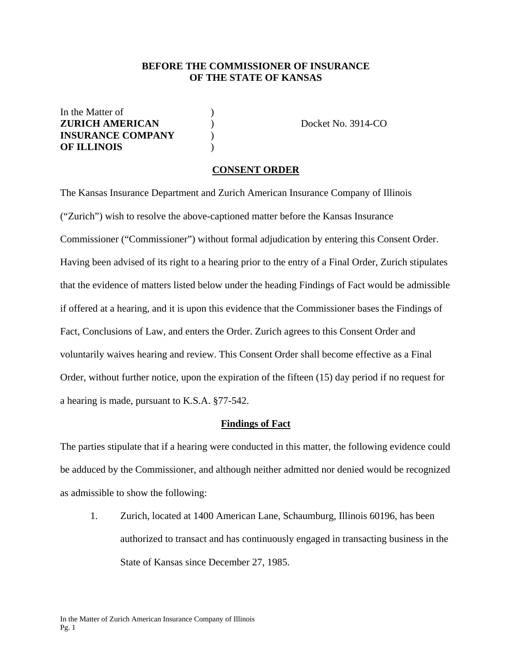#### **BEFORE THE COMMISSIONER OF INSURANCE OF THE STATE OF KANSAS**

In the Matter of  $\qquad \qquad$  ) **ZURICH AMERICAN** ) Docket No. 3914-CO **INSURANCE COMPANY** ) **OF ILLINOIS** )

#### **CONSENT ORDER**

The Kansas Insurance Department and Zurich American Insurance Company of Illinois ("Zurich") wish to resolve the above-captioned matter before the Kansas Insurance Commissioner ("Commissioner") without formal adjudication by entering this Consent Order. Having been advised of its right to a hearing prior to the entry of a Final Order, Zurich stipulates that the evidence of matters listed below under the heading Findings of Fact would be admissible if offered at a hearing, and it is upon this evidence that the Commissioner bases the Findings of Fact, Conclusions of Law, and enters the Order. Zurich agrees to this Consent Order and voluntarily waives hearing and review. This Consent Order shall become effective as a Final Order, without further notice, upon the expiration of the fifteen (15) day period if no request for a hearing is made, pursuant to K.S.A. §77-542.

#### **Findings of Fact**

The parties stipulate that if a hearing were conducted in this matter, the following evidence could be adduced by the Commissioner, and although neither admitted nor denied would be recognized as admissible to show the following:

1. Zurich, located at 1400 American Lane, Schaumburg, Illinois 60196, has been authorized to transact and has continuously engaged in transacting business in the State of Kansas since December 27, 1985.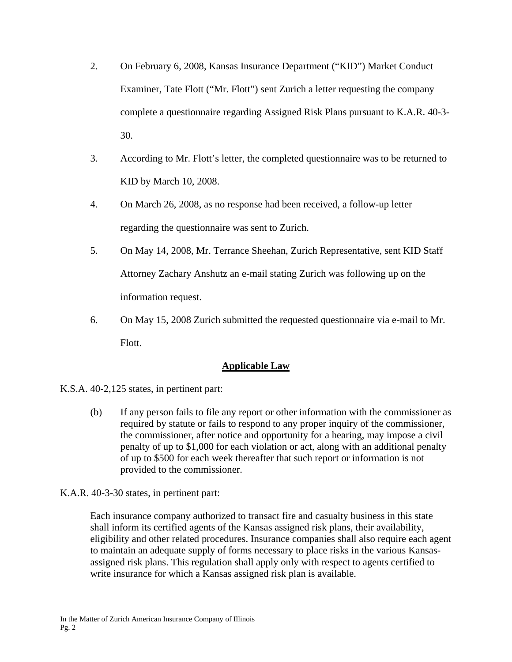- 2. On February 6, 2008, Kansas Insurance Department ("KID") Market Conduct Examiner, Tate Flott ("Mr. Flott") sent Zurich a letter requesting the company complete a questionnaire regarding Assigned Risk Plans pursuant to K.A.R. 40-3- 30.
- 3. According to Mr. Flott's letter, the completed questionnaire was to be returned to KID by March 10, 2008.
- 4. On March 26, 2008, as no response had been received, a follow-up letter regarding the questionnaire was sent to Zurich.
- 5. On May 14, 2008, Mr. Terrance Sheehan, Zurich Representative, sent KID Staff Attorney Zachary Anshutz an e-mail stating Zurich was following up on the information request.
- 6. On May 15, 2008 Zurich submitted the requested questionnaire via e-mail to Mr. Flott.

# **Applicable Law**

- K.S.A. 40-2,125 states, in pertinent part:
	- (b) If any person fails to file any report or other information with the commissioner as required by statute or fails to respond to any proper inquiry of the commissioner, the commissioner, after notice and opportunity for a hearing, may impose a civil penalty of up to \$1,000 for each violation or act, along with an additional penalty of up to \$500 for each week thereafter that such report or information is not provided to the commissioner.

K.A.R. 40-3-30 states, in pertinent part:

Each insurance company authorized to transact fire and casualty business in this state shall inform its certified agents of the Kansas assigned risk plans, their availability, eligibility and other related procedures. Insurance companies shall also require each agent to maintain an adequate supply of forms necessary to place risks in the various Kansasassigned risk plans. This regulation shall apply only with respect to agents certified to write insurance for which a Kansas assigned risk plan is available.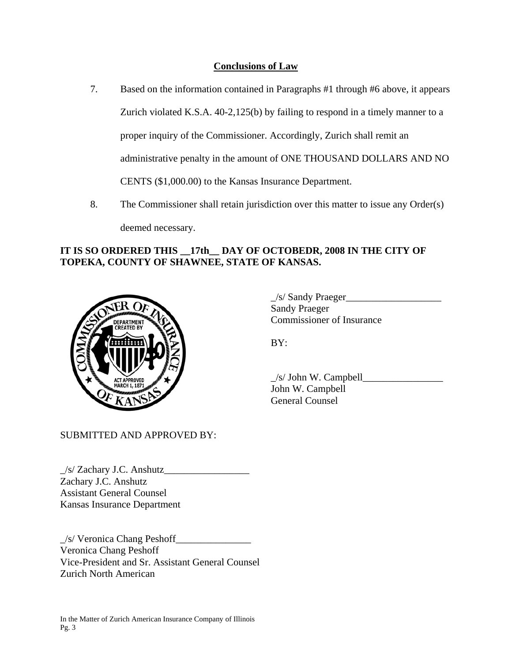# **Conclusions of Law**

- 7. Based on the information contained in Paragraphs #1 through #6 above, it appears Zurich violated K.S.A. 40-2,125(b) by failing to respond in a timely manner to a proper inquiry of the Commissioner. Accordingly, Zurich shall remit an administrative penalty in the amount of ONE THOUSAND DOLLARS AND NO CENTS (\$1,000.00) to the Kansas Insurance Department.
- 8. The Commissioner shall retain jurisdiction over this matter to issue any Order(s) deemed necessary.

# **IT IS SO ORDERED THIS \_\_17th\_\_ DAY OF OCTOBEDR, 2008 IN THE CITY OF TOPEKA, COUNTY OF SHAWNEE, STATE OF KANSAS.**



 $\angle$ s/ Sandy Praeger $\angle$  Sandy Praeger COMMISSIONER COMMISSIONER OF Insurance

 $\angle$ s/ John W. Campbell John W. Campbell General Counsel

SUBMITTED AND APPROVED BY:

 $\angle$ /s/ Zachary J.C. Anshutz $\angle$ Zachary J.C. Anshutz Assistant General Counsel Kansas Insurance Department

\_/s/ Veronica Chang Peshoff\_\_\_\_\_\_\_\_\_\_\_\_\_\_\_ Veronica Chang Peshoff Vice-President and Sr. Assistant General Counsel Zurich North American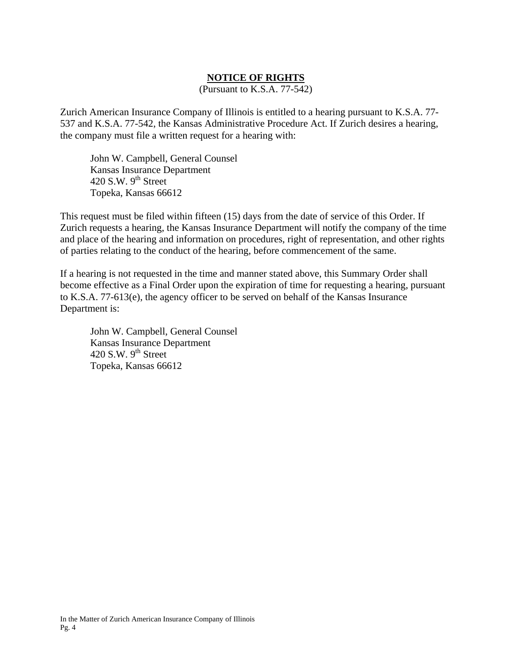### **NOTICE OF RIGHTS**

(Pursuant to K.S.A. 77-542)

Zurich American Insurance Company of Illinois is entitled to a hearing pursuant to K.S.A. 77- 537 and K.S.A. 77-542, the Kansas Administrative Procedure Act. If Zurich desires a hearing, the company must file a written request for a hearing with:

 John W. Campbell, General Counsel Kansas Insurance Department 420 S.W.  $9<sup>th</sup>$  Street Topeka, Kansas 66612

This request must be filed within fifteen (15) days from the date of service of this Order. If Zurich requests a hearing, the Kansas Insurance Department will notify the company of the time and place of the hearing and information on procedures, right of representation, and other rights of parties relating to the conduct of the hearing, before commencement of the same.

If a hearing is not requested in the time and manner stated above, this Summary Order shall become effective as a Final Order upon the expiration of time for requesting a hearing, pursuant to K.S.A. 77-613(e), the agency officer to be served on behalf of the Kansas Insurance Department is:

 John W. Campbell, General Counsel Kansas Insurance Department 420 S.W.  $9<sup>th</sup>$  Street Topeka, Kansas 66612